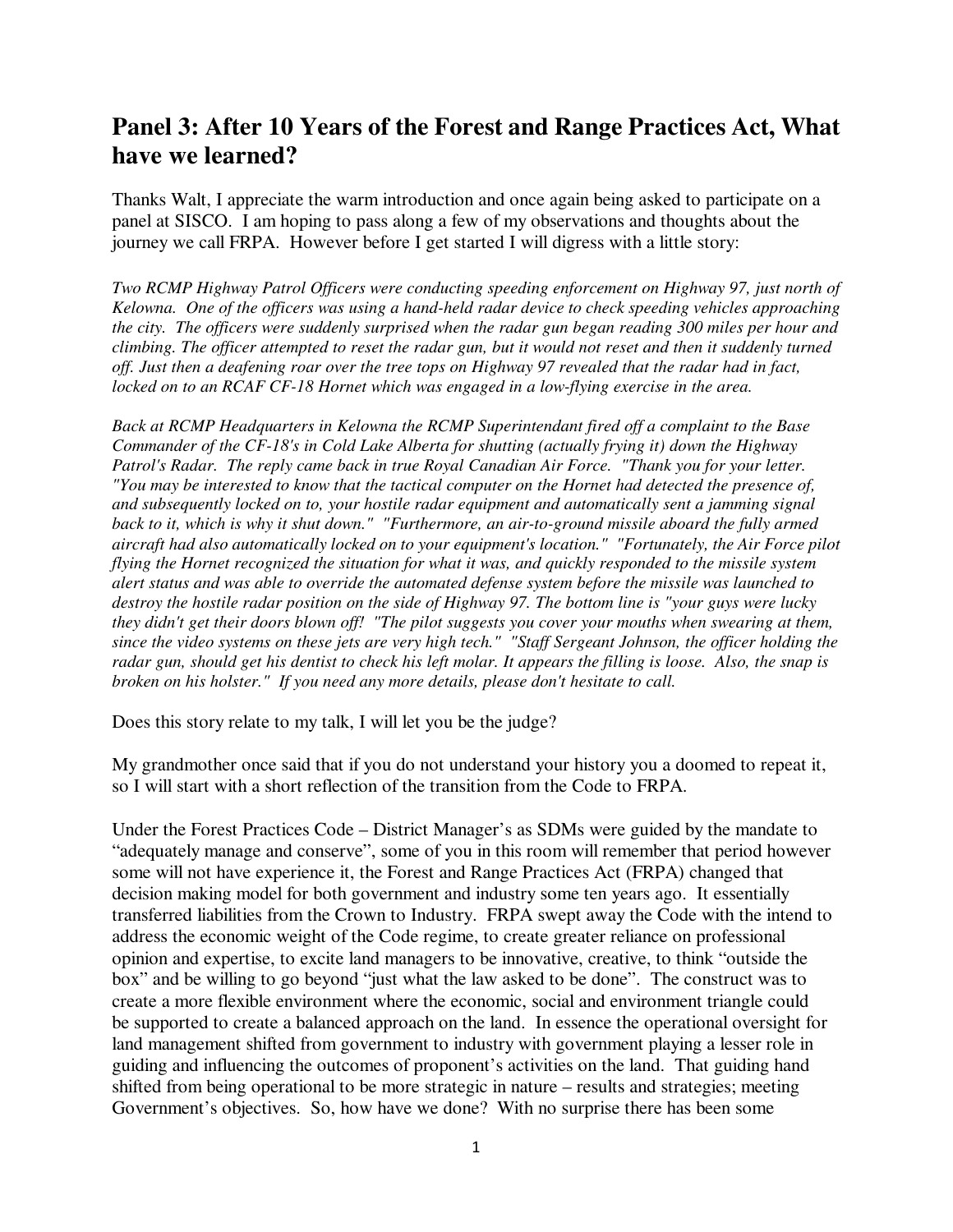## **Panel 3: After 10 Years of the Forest and Range Practices Act, What have we learned?**

Thanks Walt, I appreciate the warm introduction and once again being asked to participate on a panel at SISCO. I am hoping to pass along a few of my observations and thoughts about the journey we call FRPA. However before I get started I will digress with a little story:

*Two RCMP Highway Patrol Officers were conducting speeding enforcement on Highway 97, just north of Kelowna. One of the officers was using a hand-held radar device to check speeding vehicles approaching the city. The officers were suddenly surprised when the radar gun began reading 300 miles per hour and climbing. The officer attempted to reset the radar gun, but it would not reset and then it suddenly turned off. Just then a deafening roar over the tree tops on Highway 97 revealed that the radar had in fact, locked on to an RCAF CF-18 Hornet which was engaged in a low-flying exercise in the area.* 

*Back at RCMP Headquarters in Kelowna the RCMP Superintendant fired off a complaint to the Base Commander of the CF-18's in Cold Lake Alberta for shutting (actually frying it) down the Highway Patrol's Radar. The reply came back in true Royal Canadian Air Force. "Thank you for your letter. "You may be interested to know that the tactical computer on the Hornet had detected the presence of, and subsequently locked on to, your hostile radar equipment and automatically sent a jamming signal back to it, which is why it shut down." "Furthermore, an air-to-ground missile aboard the fully armed aircraft had also automatically locked on to your equipment's location." "Fortunately, the Air Force pilot flying the Hornet recognized the situation for what it was, and quickly responded to the missile system alert status and was able to override the automated defense system before the missile was launched to destroy the hostile radar position on the side of Highway 97. The bottom line is "your guys were lucky they didn't get their doors blown off! "The pilot suggests you cover your mouths when swearing at them, since the video systems on these jets are very high tech." "Staff Sergeant Johnson, the officer holding the radar gun, should get his dentist to check his left molar. It appears the filling is loose. Also, the snap is broken on his holster." If you need any more details, please don't hesitate to call.* 

Does this story relate to my talk, I will let you be the judge?

My grandmother once said that if you do not understand your history you a doomed to repeat it, so I will start with a short reflection of the transition from the Code to FRPA.

Under the Forest Practices Code – District Manager's as SDMs were guided by the mandate to "adequately manage and conserve", some of you in this room will remember that period however some will not have experience it, the Forest and Range Practices Act (FRPA) changed that decision making model for both government and industry some ten years ago. It essentially transferred liabilities from the Crown to Industry. FRPA swept away the Code with the intend to address the economic weight of the Code regime, to create greater reliance on professional opinion and expertise, to excite land managers to be innovative, creative, to think "outside the box" and be willing to go beyond "just what the law asked to be done". The construct was to create a more flexible environment where the economic, social and environment triangle could be supported to create a balanced approach on the land. In essence the operational oversight for land management shifted from government to industry with government playing a lesser role in guiding and influencing the outcomes of proponent's activities on the land. That guiding hand shifted from being operational to be more strategic in nature – results and strategies; meeting Government's objectives. So, how have we done? With no surprise there has been some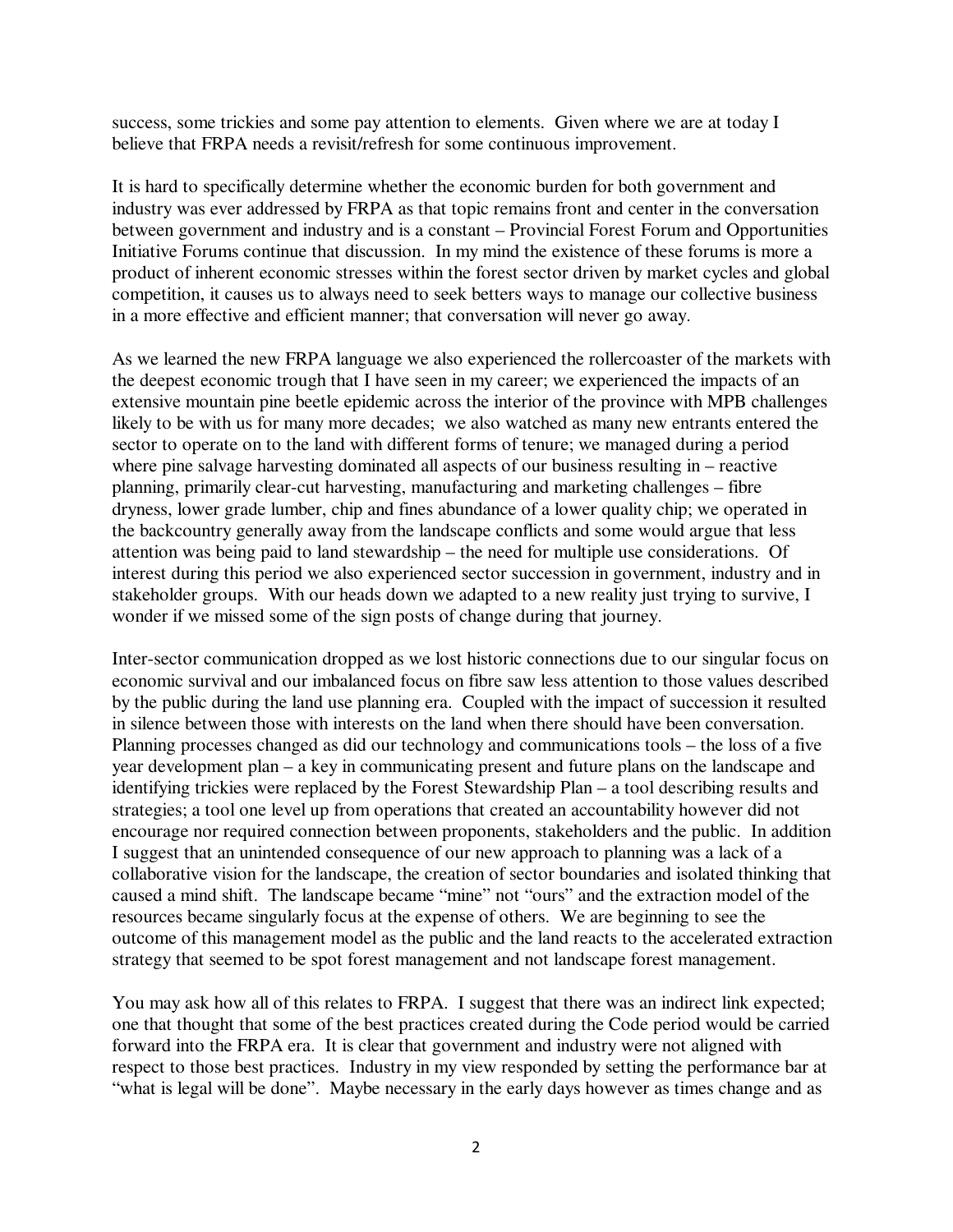success, some trickies and some pay attention to elements. Given where we are at today I believe that FRPA needs a revisit/refresh for some continuous improvement.

It is hard to specifically determine whether the economic burden for both government and industry was ever addressed by FRPA as that topic remains front and center in the conversation between government and industry and is a constant – Provincial Forest Forum and Opportunities Initiative Forums continue that discussion. In my mind the existence of these forums is more a product of inherent economic stresses within the forest sector driven by market cycles and global competition, it causes us to always need to seek betters ways to manage our collective business in a more effective and efficient manner; that conversation will never go away.

As we learned the new FRPA language we also experienced the rollercoaster of the markets with the deepest economic trough that I have seen in my career; we experienced the impacts of an extensive mountain pine beetle epidemic across the interior of the province with MPB challenges likely to be with us for many more decades; we also watched as many new entrants entered the sector to operate on to the land with different forms of tenure; we managed during a period where pine salvage harvesting dominated all aspects of our business resulting in – reactive planning, primarily clear-cut harvesting, manufacturing and marketing challenges – fibre dryness, lower grade lumber, chip and fines abundance of a lower quality chip; we operated in the backcountry generally away from the landscape conflicts and some would argue that less attention was being paid to land stewardship – the need for multiple use considerations. Of interest during this period we also experienced sector succession in government, industry and in stakeholder groups. With our heads down we adapted to a new reality just trying to survive, I wonder if we missed some of the sign posts of change during that journey.

Inter-sector communication dropped as we lost historic connections due to our singular focus on economic survival and our imbalanced focus on fibre saw less attention to those values described by the public during the land use planning era. Coupled with the impact of succession it resulted in silence between those with interests on the land when there should have been conversation. Planning processes changed as did our technology and communications tools – the loss of a five year development plan – a key in communicating present and future plans on the landscape and identifying trickies were replaced by the Forest Stewardship Plan – a tool describing results and strategies; a tool one level up from operations that created an accountability however did not encourage nor required connection between proponents, stakeholders and the public. In addition I suggest that an unintended consequence of our new approach to planning was a lack of a collaborative vision for the landscape, the creation of sector boundaries and isolated thinking that caused a mind shift. The landscape became "mine" not "ours" and the extraction model of the resources became singularly focus at the expense of others. We are beginning to see the outcome of this management model as the public and the land reacts to the accelerated extraction strategy that seemed to be spot forest management and not landscape forest management.

You may ask how all of this relates to FRPA. I suggest that there was an indirect link expected; one that thought that some of the best practices created during the Code period would be carried forward into the FRPA era. It is clear that government and industry were not aligned with respect to those best practices. Industry in my view responded by setting the performance bar at "what is legal will be done". Maybe necessary in the early days however as times change and as